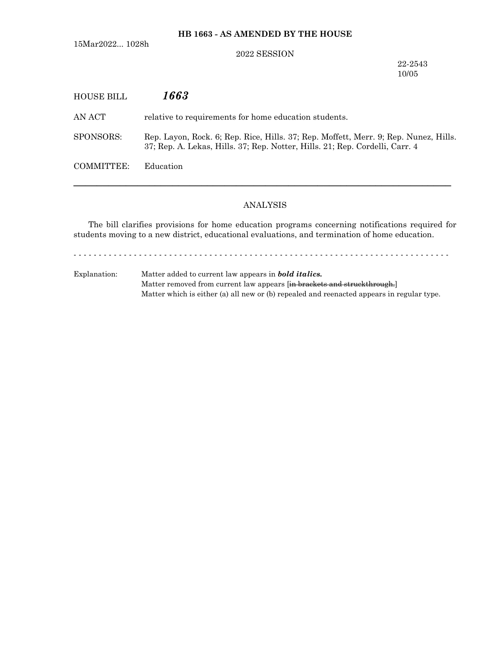15Mar2022... 1028h

## 2022 SESSION

22-2543 10/05

| <b>HOUSE BILL</b> | 1663                                                                                                                                                                 |
|-------------------|----------------------------------------------------------------------------------------------------------------------------------------------------------------------|
| AN ACT            | relative to requirements for home education students.                                                                                                                |
| SPONSORS:         | Rep. Layon, Rock. 6; Rep. Rice, Hills. 37; Rep. Moffett, Merr. 9; Rep. Nunez, Hills.<br>37; Rep. A. Lekas, Hills. 37; Rep. Notter, Hills. 21; Rep. Cordelli, Carr. 4 |
| COMMITTEE:        | Education                                                                                                                                                            |
|                   |                                                                                                                                                                      |

## ANALYSIS

The bill clarifies provisions for home education programs concerning notifications required for students moving to a new district, educational evaluations, and termination of home education.

- - - - - - - - - - - - - - - - - - - - - - - - - - - - - - - - - - - - - - - - - - - - - - - - - - - - - - - - - - - - - - - - - - - - - - - - - - -

Explanation: Matter added to current law appears in *bold italics.* Matter removed from current law appears [in brackets and struckthrough.] Matter which is either (a) all new or (b) repealed and reenacted appears in regular type.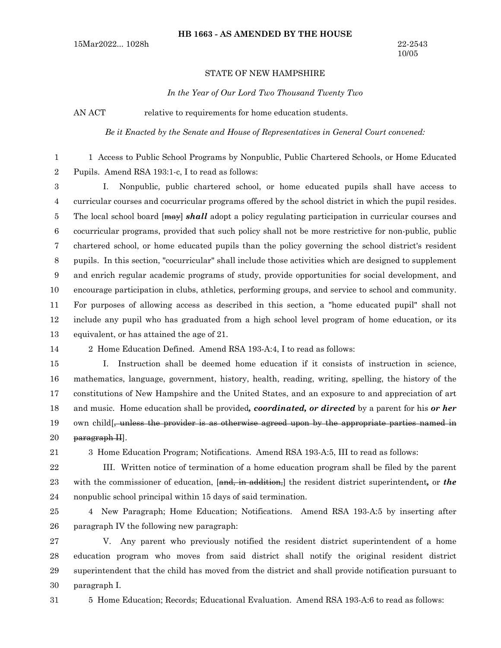## STATE OF NEW HAMPSHIRE

*In the Year of Our Lord Two Thousand Twenty Two*

AN ACT relative to requirements for home education students.

*Be it Enacted by the Senate and House of Representatives in General Court convened:*

1 Access to Public School Programs by Nonpublic, Public Chartered Schools, or Home Educated Pupils. Amend RSA 193:1-c, I to read as follows: 1 2

I. Nonpublic, public chartered school, or home educated pupils shall have access to curricular courses and cocurricular programs offered by the school district in which the pupil resides. The local school board [may] *shall* adopt a policy regulating participation in curricular courses and cocurricular programs, provided that such policy shall not be more restrictive for non-public, public chartered school, or home educated pupils than the policy governing the school district's resident pupils. In this section, "cocurricular" shall include those activities which are designed to supplement and enrich regular academic programs of study, provide opportunities for social development, and encourage participation in clubs, athletics, performing groups, and service to school and community. For purposes of allowing access as described in this section, a "home educated pupil" shall not include any pupil who has graduated from a high school level program of home education, or its equivalent, or has attained the age of 21. 3 4 5 6 7 8 9 10 11 12 13

14

2 Home Education Defined. Amend RSA 193-A:4, I to read as follows:

I. Instruction shall be deemed home education if it consists of instruction in science, mathematics, language, government, history, health, reading, writing, spelling, the history of the constitutions of New Hampshire and the United States, and an exposure to and appreciation of art and music. Home education shall be provided*, coordinated, or directed* by a parent for his *or her* own child[, unless the provider is as otherwise agreed upon by the appropriate parties named in paragraph II]. 15 16 17 18 19 20

21

3 Home Education Program; Notifications. Amend RSA 193-A:5, III to read as follows:

III. Written notice of termination of a home education program shall be filed by the parent with the commissioner of education, [and, in addition,] the resident district superintendent, or *the* nonpublic school principal within 15 days of said termination. 22 23 24

4 New Paragraph; Home Education; Notifications. Amend RSA 193-A:5 by inserting after paragraph IV the following new paragraph: 25 26

V. Any parent who previously notified the resident district superintendent of a home education program who moves from said district shall notify the original resident district superintendent that the child has moved from the district and shall provide notification pursuant to paragraph I. 27 28 29 30

31

5 Home Education; Records; Educational Evaluation. Amend RSA 193-A:6 to read as follows: